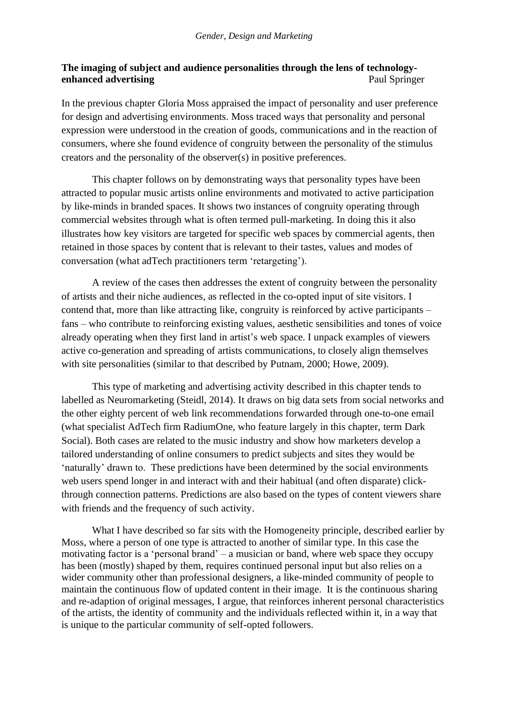# **The imaging of subject and audience personalities through the lens of technologyenhanced advertising** Paul Springer

In the previous chapter Gloria Moss appraised the impact of personality and user preference for design and advertising environments. Moss traced ways that personality and personal expression were understood in the creation of goods, communications and in the reaction of consumers, where she found evidence of congruity between the personality of the stimulus creators and the personality of the observer(s) in positive preferences.

This chapter follows on by demonstrating ways that personality types have been attracted to popular music artists online environments and motivated to active participation by like-minds in branded spaces. It shows two instances of congruity operating through commercial websites through what is often termed pull-marketing. In doing this it also illustrates how key visitors are targeted for specific web spaces by commercial agents, then retained in those spaces by content that is relevant to their tastes, values and modes of conversation (what adTech practitioners term 'retargeting').

A review of the cases then addresses the extent of congruity between the personality of artists and their niche audiences, as reflected in the co-opted input of site visitors. I contend that, more than like attracting like, congruity is reinforced by active participants – fans – who contribute to reinforcing existing values, aesthetic sensibilities and tones of voice already operating when they first land in artist's web space. I unpack examples of viewers active co-generation and spreading of artists communications, to closely align themselves with site personalities (similar to that described by Putnam, 2000; Howe, 2009).

This type of marketing and advertising activity described in this chapter tends to labelled as Neuromarketing (Steidl, 2014). It draws on big data sets from social networks and the other eighty percent of web link recommendations forwarded through one-to-one email (what specialist AdTech firm RadiumOne, who feature largely in this chapter, term Dark Social). Both cases are related to the music industry and show how marketers develop a tailored understanding of online consumers to predict subjects and sites they would be 'naturally' drawn to. These predictions have been determined by the social environments web users spend longer in and interact with and their habitual (and often disparate) clickthrough connection patterns. Predictions are also based on the types of content viewers share with friends and the frequency of such activity.

What I have described so far sits with the Homogeneity principle, described earlier by Moss, where a person of one type is attracted to another of similar type. In this case the motivating factor is a 'personal brand' – a musician or band, where web space they occupy has been (mostly) shaped by them, requires continued personal input but also relies on a wider community other than professional designers, a like-minded community of people to maintain the continuous flow of updated content in their image. It is the continuous sharing and re-adaption of original messages, I argue, that reinforces inherent personal characteristics of the artists, the identity of community and the individuals reflected within it, in a way that is unique to the particular community of self-opted followers.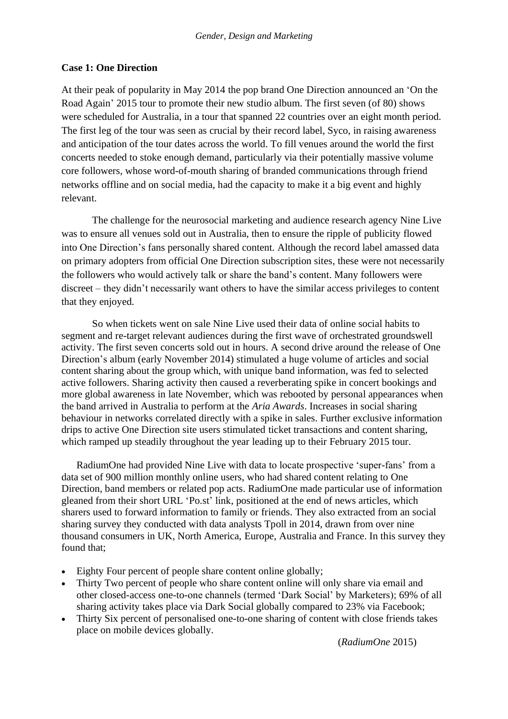## **Case 1: One Direction**

At their peak of popularity in May 2014 the pop brand One Direction announced an 'On the Road Again' 2015 tour to promote their new studio album. The first seven (of 80) shows were scheduled for Australia, in a tour that spanned 22 countries over an eight month period. The first leg of the tour was seen as crucial by their record label, Syco, in raising awareness and anticipation of the tour dates across the world. To fill venues around the world the first concerts needed to stoke enough demand, particularly via their potentially massive volume core followers, whose word-of-mouth sharing of branded communications through friend networks offline and on social media, had the capacity to make it a big event and highly relevant.

The challenge for the neurosocial marketing and audience research agency Nine Live was to ensure all venues sold out in Australia, then to ensure the ripple of publicity flowed into One Direction's fans personally shared content. Although the record label amassed data on primary adopters from official One Direction subscription sites, these were not necessarily the followers who would actively talk or share the band's content. Many followers were discreet – they didn't necessarily want others to have the similar access privileges to content that they enjoyed.

So when tickets went on sale Nine Live used their data of online social habits to segment and re-target relevant audiences during the first wave of orchestrated groundswell activity. The first seven concerts sold out in hours. A second drive around the release of One Direction's album (early November 2014) stimulated a huge volume of articles and social content sharing about the group which, with unique band information, was fed to selected active followers. Sharing activity then caused a reverberating spike in concert bookings and more global awareness in late November, which was rebooted by personal appearances when the band arrived in Australia to perform at the *Aria Awards*. Increases in social sharing behaviour in networks correlated directly with a spike in sales. Further exclusive information drips to active One Direction site users stimulated ticket transactions and content sharing, which ramped up steadily throughout the year leading up to their February 2015 tour.

RadiumOne had provided Nine Live with data to locate prospective 'super-fans' from a data set of 900 million monthly online users, who had shared content relating to One Direction, band members or related pop acts. RadiumOne made particular use of information gleaned from their short URL ['Po.st'](http://po.st/PSTDS) link, positioned at the end of news articles, which sharers used to forward information to family or friends. They also extracted from an social sharing survey they conducted with data analysts Tpoll in 2014, drawn from over nine thousand consumers in UK, North America, Europe, Australia and France. In this survey they found that;

- Eighty Four percent of people share content online globally;
- Thirty Two percent of people who share content online will only share via email and other closed-access one-to-one channels (termed 'Dark Social' by Marketers); 69% of all sharing activity takes place via Dark Social globally compared to 23% via Facebook;
- Thirty Six percent of personalised one-to-one sharing of content with close friends takes place on mobile devices globally.

(*RadiumOne* 2015)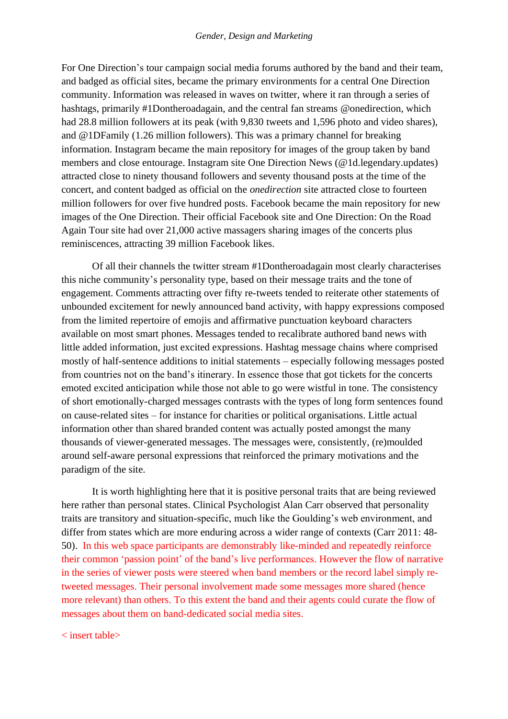For One Direction's tour campaign social media forums authored by the band and their team, and badged as official sites, became the primary environments for a central One Direction community. Information was released in waves on twitter, where it ran through a series of hashtags, primarily #1Dontheroadagain, and the central fan streams @onedirection, which had 28.8 million followers at its peak (with 9,830 tweets and 1,596 photo and video shares), and @1DFamily (1.26 million followers). This was a primary channel for breaking information. Instagram became the main repository for images of the group taken by band members and close entourage. Instagram site One Direction News (@1d.legendary.updates) attracted close to ninety thousand followers and seventy thousand posts at the time of the concert, and content badged as official on the *onedirection* site attracted close to fourteen million followers for over five hundred posts. Facebook became the main repository for new images of the One Direction. Their official Facebook site and One Direction: On the Road Again Tour site had over 21,000 active massagers sharing images of the concerts plus reminiscences, attracting 39 million Facebook likes.

Of all their channels the twitter stream #1Dontheroadagain most clearly characterises this niche community's personality type, based on their message traits and the tone of engagement. Comments attracting over fifty re-tweets tended to reiterate other statements of unbounded excitement for newly announced band activity, with happy expressions composed from the limited repertoire of emojis and affirmative punctuation keyboard characters available on most smart phones. Messages tended to recalibrate authored band news with little added information, just excited expressions. Hashtag message chains where comprised mostly of half-sentence additions to initial statements – especially following messages posted from countries not on the band's itinerary. In essence those that got tickets for the concerts emoted excited anticipation while those not able to go were wistful in tone. The consistency of short emotionally-charged messages contrasts with the types of long form sentences found on cause-related sites – for instance for charities or political organisations. Little actual information other than shared branded content was actually posted amongst the many thousands of viewer-generated messages. The messages were, consistently, (re)moulded around self-aware personal expressions that reinforced the primary motivations and the paradigm of the site.

It is worth highlighting here that it is positive personal traits that are being reviewed here rather than personal states. Clinical Psychologist Alan Carr observed that personality traits are transitory and situation-specific, much like the Goulding's web environment, and differ from states which are more enduring across a wider range of contexts (Carr 2011: 48-50). In this web space participants are demonstrably like-minded and repeatedly reinforce their common 'passion point' of the band's live performances. However the flow of narrative in the series of viewer posts were steered when band members or the record label simply retweeted messages. Their personal involvement made some messages more shared (hence more relevant) than others. To this extent the band and their agents could curate the flow of messages about them on band-dedicated social media sites.

< insert table>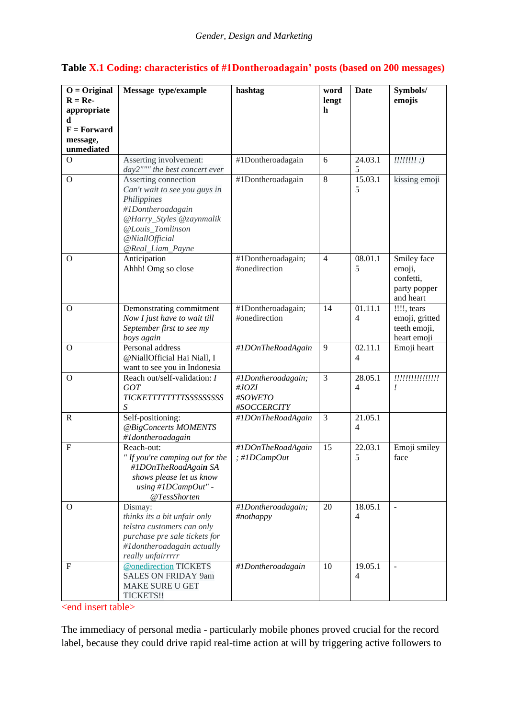|  |  | Table X.1 Coding: characteristics of #1Dontheroadagain' posts (based on 200 messages) |  |  |
|--|--|---------------------------------------------------------------------------------------|--|--|
|--|--|---------------------------------------------------------------------------------------|--|--|

| $O = Original$                                  | Message type/example                                                                                                                                                                                                                                                                                                                                                                                                              | hashtag                                                                                                                                | word                | <b>Date</b>                                                                                      | Symbols/                                                                                                                                                                                                                                                                                                                                                                                     |
|-------------------------------------------------|-----------------------------------------------------------------------------------------------------------------------------------------------------------------------------------------------------------------------------------------------------------------------------------------------------------------------------------------------------------------------------------------------------------------------------------|----------------------------------------------------------------------------------------------------------------------------------------|---------------------|--------------------------------------------------------------------------------------------------|----------------------------------------------------------------------------------------------------------------------------------------------------------------------------------------------------------------------------------------------------------------------------------------------------------------------------------------------------------------------------------------------|
| $R = Re-$                                       |                                                                                                                                                                                                                                                                                                                                                                                                                                   |                                                                                                                                        | lengt               |                                                                                                  | emojis                                                                                                                                                                                                                                                                                                                                                                                       |
| appropriate                                     |                                                                                                                                                                                                                                                                                                                                                                                                                                   |                                                                                                                                        | $\mathbf h$         |                                                                                                  |                                                                                                                                                                                                                                                                                                                                                                                              |
| d<br>$F = Forward$                              |                                                                                                                                                                                                                                                                                                                                                                                                                                   |                                                                                                                                        |                     |                                                                                                  |                                                                                                                                                                                                                                                                                                                                                                                              |
| message,                                        |                                                                                                                                                                                                                                                                                                                                                                                                                                   |                                                                                                                                        |                     |                                                                                                  |                                                                                                                                                                                                                                                                                                                                                                                              |
| unmediated                                      |                                                                                                                                                                                                                                                                                                                                                                                                                                   |                                                                                                                                        |                     |                                                                                                  |                                                                                                                                                                                                                                                                                                                                                                                              |
| $\Omega$                                        | Asserting involvement:                                                                                                                                                                                                                                                                                                                                                                                                            | #1Dontheroadagain                                                                                                                      | 6                   | 24.03.1                                                                                          | $\frac{1}{1!}\frac{1}{1!}\frac{1}{1!}\frac{1}{1!}\frac{1}{1!}\frac{1}{1!}\frac{1}{1!}\frac{1}{1!}\frac{1}{1!}\frac{1}{1!}\frac{1}{1!}\frac{1}{1!}\frac{1}{1!}\frac{1}{1!}\frac{1}{1!}\frac{1}{1!}\frac{1}{1!}\frac{1}{1!}\frac{1}{1!}\frac{1}{1!}\frac{1}{1!}\frac{1}{1!}\frac{1}{1!}\frac{1}{1!}\frac{1}{1!}\frac{1}{1!}\frac{1}{1!}\frac{1}{1!}\frac{1}{1!}\frac{1}{1!}\frac{1}{1!}\frac{$ |
|                                                 | day2""" the best concert ever                                                                                                                                                                                                                                                                                                                                                                                                     |                                                                                                                                        | 8                   | 5                                                                                                |                                                                                                                                                                                                                                                                                                                                                                                              |
| $\Omega$                                        | Asserting connection<br>Can't wait to see you guys in                                                                                                                                                                                                                                                                                                                                                                             | #1Dontheroadagain                                                                                                                      |                     | 15.03.1<br>5                                                                                     | kissing emoji                                                                                                                                                                                                                                                                                                                                                                                |
|                                                 | Philippines                                                                                                                                                                                                                                                                                                                                                                                                                       |                                                                                                                                        |                     |                                                                                                  |                                                                                                                                                                                                                                                                                                                                                                                              |
|                                                 | #1Dontheroadagain                                                                                                                                                                                                                                                                                                                                                                                                                 |                                                                                                                                        |                     |                                                                                                  |                                                                                                                                                                                                                                                                                                                                                                                              |
|                                                 | @Harry_Styles @zaynmalik                                                                                                                                                                                                                                                                                                                                                                                                          |                                                                                                                                        |                     |                                                                                                  |                                                                                                                                                                                                                                                                                                                                                                                              |
|                                                 | @Louis_Tomlinson                                                                                                                                                                                                                                                                                                                                                                                                                  |                                                                                                                                        |                     |                                                                                                  |                                                                                                                                                                                                                                                                                                                                                                                              |
|                                                 | @NiallOfficial                                                                                                                                                                                                                                                                                                                                                                                                                    |                                                                                                                                        |                     |                                                                                                  |                                                                                                                                                                                                                                                                                                                                                                                              |
| $\Omega$                                        | @Real_Liam_Payne<br>Anticipation                                                                                                                                                                                                                                                                                                                                                                                                  | #1Dontheroadagain;                                                                                                                     | $\overline{4}$      | 08.01.1                                                                                          | Smiley face                                                                                                                                                                                                                                                                                                                                                                                  |
|                                                 | Ahhh! Omg so close                                                                                                                                                                                                                                                                                                                                                                                                                | #onedirection                                                                                                                          |                     | 5                                                                                                | emoji,                                                                                                                                                                                                                                                                                                                                                                                       |
|                                                 |                                                                                                                                                                                                                                                                                                                                                                                                                                   |                                                                                                                                        |                     |                                                                                                  | confetti,                                                                                                                                                                                                                                                                                                                                                                                    |
|                                                 |                                                                                                                                                                                                                                                                                                                                                                                                                                   |                                                                                                                                        |                     |                                                                                                  | party popper                                                                                                                                                                                                                                                                                                                                                                                 |
|                                                 |                                                                                                                                                                                                                                                                                                                                                                                                                                   |                                                                                                                                        |                     |                                                                                                  | and heart                                                                                                                                                                                                                                                                                                                                                                                    |
| $\Omega$                                        | Demonstrating commitment                                                                                                                                                                                                                                                                                                                                                                                                          | #1Dontheroadagain;<br>#onedirection                                                                                                    | 14                  | 01.11.1                                                                                          | !!!!, tears                                                                                                                                                                                                                                                                                                                                                                                  |
|                                                 | Now I just have to wait till<br>September first to see my                                                                                                                                                                                                                                                                                                                                                                         |                                                                                                                                        |                     | 4                                                                                                | emoji, gritted<br>teeth emoji,                                                                                                                                                                                                                                                                                                                                                               |
|                                                 |                                                                                                                                                                                                                                                                                                                                                                                                                                   |                                                                                                                                        |                     |                                                                                                  |                                                                                                                                                                                                                                                                                                                                                                                              |
| $\Omega$                                        | Personal address                                                                                                                                                                                                                                                                                                                                                                                                                  | #1DOnTheRoadAgain                                                                                                                      | 9                   | 02.11.1                                                                                          | Emoji heart                                                                                                                                                                                                                                                                                                                                                                                  |
|                                                 | @NiallOfficial Hai Niall, I                                                                                                                                                                                                                                                                                                                                                                                                       |                                                                                                                                        |                     | 4                                                                                                |                                                                                                                                                                                                                                                                                                                                                                                              |
|                                                 |                                                                                                                                                                                                                                                                                                                                                                                                                                   |                                                                                                                                        |                     |                                                                                                  |                                                                                                                                                                                                                                                                                                                                                                                              |
|                                                 |                                                                                                                                                                                                                                                                                                                                                                                                                                   |                                                                                                                                        |                     |                                                                                                  |                                                                                                                                                                                                                                                                                                                                                                                              |
|                                                 |                                                                                                                                                                                                                                                                                                                                                                                                                                   |                                                                                                                                        |                     |                                                                                                  |                                                                                                                                                                                                                                                                                                                                                                                              |
|                                                 | S                                                                                                                                                                                                                                                                                                                                                                                                                                 | #SOCCERCITY                                                                                                                            |                     |                                                                                                  |                                                                                                                                                                                                                                                                                                                                                                                              |
| $\mathbf R$                                     | Self-positioning:                                                                                                                                                                                                                                                                                                                                                                                                                 | #1DOnTheRoadAgain                                                                                                                      | 3                   | 21.05.1                                                                                          |                                                                                                                                                                                                                                                                                                                                                                                              |
|                                                 |                                                                                                                                                                                                                                                                                                                                                                                                                                   |                                                                                                                                        |                     | $\overline{\mathcal{L}}$                                                                         |                                                                                                                                                                                                                                                                                                                                                                                              |
|                                                 |                                                                                                                                                                                                                                                                                                                                                                                                                                   |                                                                                                                                        |                     |                                                                                                  |                                                                                                                                                                                                                                                                                                                                                                                              |
|                                                 |                                                                                                                                                                                                                                                                                                                                                                                                                                   |                                                                                                                                        |                     |                                                                                                  |                                                                                                                                                                                                                                                                                                                                                                                              |
|                                                 |                                                                                                                                                                                                                                                                                                                                                                                                                                   |                                                                                                                                        |                     |                                                                                                  |                                                                                                                                                                                                                                                                                                                                                                                              |
|                                                 | shows please let us know                                                                                                                                                                                                                                                                                                                                                                                                          |                                                                                                                                        |                     |                                                                                                  |                                                                                                                                                                                                                                                                                                                                                                                              |
|                                                 | $using$ #1DCampOut" -                                                                                                                                                                                                                                                                                                                                                                                                             |                                                                                                                                        |                     |                                                                                                  |                                                                                                                                                                                                                                                                                                                                                                                              |
|                                                 |                                                                                                                                                                                                                                                                                                                                                                                                                                   |                                                                                                                                        |                     |                                                                                                  |                                                                                                                                                                                                                                                                                                                                                                                              |
|                                                 |                                                                                                                                                                                                                                                                                                                                                                                                                                   |                                                                                                                                        |                     |                                                                                                  |                                                                                                                                                                                                                                                                                                                                                                                              |
|                                                 |                                                                                                                                                                                                                                                                                                                                                                                                                                   |                                                                                                                                        |                     |                                                                                                  |                                                                                                                                                                                                                                                                                                                                                                                              |
|                                                 | purchase pre sale tickets for                                                                                                                                                                                                                                                                                                                                                                                                     |                                                                                                                                        |                     |                                                                                                  |                                                                                                                                                                                                                                                                                                                                                                                              |
|                                                 | #1dontheroadagain actually                                                                                                                                                                                                                                                                                                                                                                                                        |                                                                                                                                        |                     |                                                                                                  |                                                                                                                                                                                                                                                                                                                                                                                              |
|                                                 | really unfairrrrr                                                                                                                                                                                                                                                                                                                                                                                                                 |                                                                                                                                        |                     |                                                                                                  |                                                                                                                                                                                                                                                                                                                                                                                              |
|                                                 |                                                                                                                                                                                                                                                                                                                                                                                                                                   |                                                                                                                                        |                     |                                                                                                  |                                                                                                                                                                                                                                                                                                                                                                                              |
|                                                 |                                                                                                                                                                                                                                                                                                                                                                                                                                   |                                                                                                                                        |                     |                                                                                                  |                                                                                                                                                                                                                                                                                                                                                                                              |
|                                                 |                                                                                                                                                                                                                                                                                                                                                                                                                                   |                                                                                                                                        |                     |                                                                                                  |                                                                                                                                                                                                                                                                                                                                                                                              |
| $\overline{O}$<br>F<br>$\Omega$<br>$\mathbf{F}$ | boys again<br>want to see you in Indonesia<br>Reach out/self-validation: I<br>GOT<br><b>TICKETTTTTTTTTSSSSSSSSSS</b><br>@BigConcerts MOMENTS<br>#Idontheroadagain<br>Reach-out:<br>" If you're camping out for the<br>#1DOnTheRoadAgain SA<br>@TessShorten<br>Dismay:<br>thinks its a bit unfair only<br>telstra customers can only<br>@onedirection TICKETS<br><b>SALES ON FRIDAY 9am</b><br><b>MAKE SURE U GET</b><br>TICKETS!! | #1Dontheroadagain;<br>#JOZI<br>#SOWETO<br>#1DOnTheRoadAgain<br>; $\#1DCampOut$<br>#1Dontheroadagain;<br>#nothappy<br>#1Dontheroadagain | 3<br>15<br>20<br>10 | 28.05.1<br>4<br>22.03.1<br>5<br>18.05.1<br>$\overline{4}$<br>19.05.1<br>$\overline{\mathcal{L}}$ | heart emoji<br>!!!!!!!!!!!!!!!!<br>Emoji smiley<br>face                                                                                                                                                                                                                                                                                                                                      |

<end insert table>

The immediacy of personal media - particularly mobile phones proved crucial for the record label, because they could drive rapid real-time action at will by triggering active followers to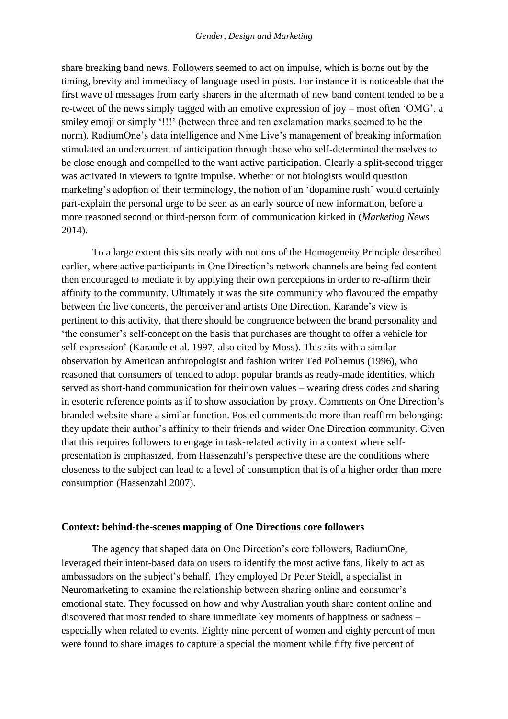#### *Gender, Design and Marketing*

share breaking band news. Followers seemed to act on impulse, which is borne out by the timing, brevity and immediacy of language used in posts. For instance it is noticeable that the first wave of messages from early sharers in the aftermath of new band content tended to be a re-tweet of the news simply tagged with an emotive expression of joy – most often 'OMG', a smiley emoji or simply '!!!' (between three and ten exclamation marks seemed to be the norm). RadiumOne's data intelligence and Nine Live's management of breaking information stimulated an undercurrent of anticipation through those who self-determined themselves to be close enough and compelled to the want active participation. Clearly a split-second trigger was activated in viewers to ignite impulse. Whether or not biologists would question marketing's adoption of their terminology, the notion of an 'dopamine rush' would certainly part-explain the personal urge to be seen as an early source of new information, before a more reasoned second or third-person form of communication kicked in (*Marketing News* 2014).

To a large extent this sits neatly with notions of the Homogeneity Principle described earlier, where active participants in One Direction's network channels are being fed content then encouraged to mediate it by applying their own perceptions in order to re-affirm their affinity to the community. Ultimately it was the site community who flavoured the empathy between the live concerts, the perceiver and artists One Direction. Karande's view is pertinent to this activity, that there should be congruence between the brand personality and 'the consumer's self-concept on the basis that purchases are thought to offer a vehicle for self-expression' (Karande et al. 1997, also cited by Moss). This sits with a similar observation by American anthropologist and fashion writer Ted Polhemus (1996), who reasoned that consumers of tended to adopt popular brands as ready-made identities, which served as short-hand communication for their own values – wearing dress codes and sharing in esoteric reference points as if to show association by proxy. Comments on One Direction's branded website share a similar function. Posted comments do more than reaffirm belonging: they update their author's affinity to their friends and wider One Direction community. Given that this requires followers to engage in task-related activity in a context where selfpresentation is emphasized, from Hassenzahl's perspective these are the conditions where closeness to the subject can lead to a level of consumption that is of a higher order than mere consumption (Hassenzahl 2007).

#### **Context: behind-the-scenes mapping of One Directions core followers**

The agency that shaped data on One Direction's core followers, RadiumOne, leveraged their intent-based data on users to identify the most active fans, likely to act as ambassadors on the subject's behalf. They employed Dr Peter Steidl, a specialist in Neuromarketing to examine the relationship between sharing online and consumer's emotional state. They focussed on how and why Australian youth share content online and discovered that most tended to share immediate key moments of happiness or sadness – especially when related to events. Eighty nine percent of women and eighty percent of men were found to share images to capture a special the moment while fifty five percent of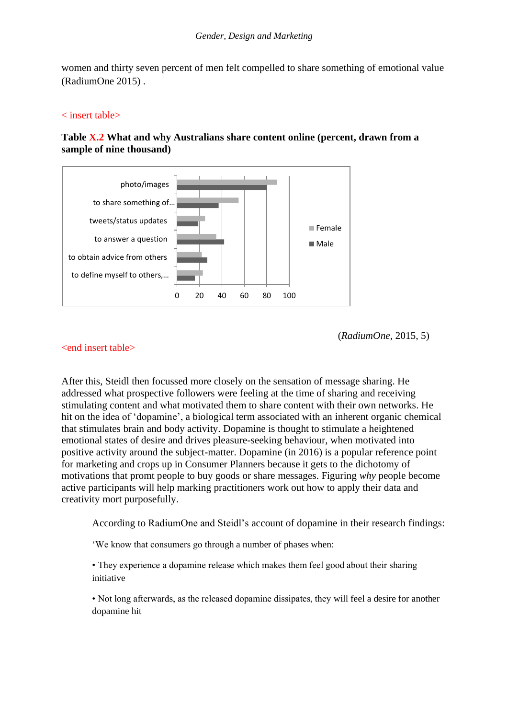women and thirty seven percent of men felt compelled to share something of emotional value (RadiumOne 2015) .

### < insert table>



# **Table X.2 What and why Australians share content online (percent, drawn from a sample of nine thousand)**

(*RadiumOne*, 2015, 5)

## <end insert table>

After this, Steidl then focussed more closely on the sensation of message sharing. He addressed what prospective followers were feeling at the time of sharing and receiving stimulating content and what motivated them to share content with their own networks. He hit on the idea of 'dopamine', a biological term associated with an inherent organic chemical that stimulates brain and body activity. Dopamine is thought to stimulate a heightened emotional states of desire and drives pleasure-seeking behaviour, when motivated into positive activity around the subject-matter. Dopamine (in 2016) is a popular reference point for marketing and crops up in Consumer Planners because it gets to the dichotomy of motivations that promt people to buy goods or share messages. Figuring *why* people become active participants will help marking practitioners work out how to apply their data and creativity mort purposefully.

According to RadiumOne and Steidl's account of dopamine in their research findings:

'We know that consumers go through a number of phases when:

• They experience a dopamine release which makes them feel good about their sharing initiative

• Not long afterwards, as the released dopamine dissipates, they will feel a desire for another dopamine hit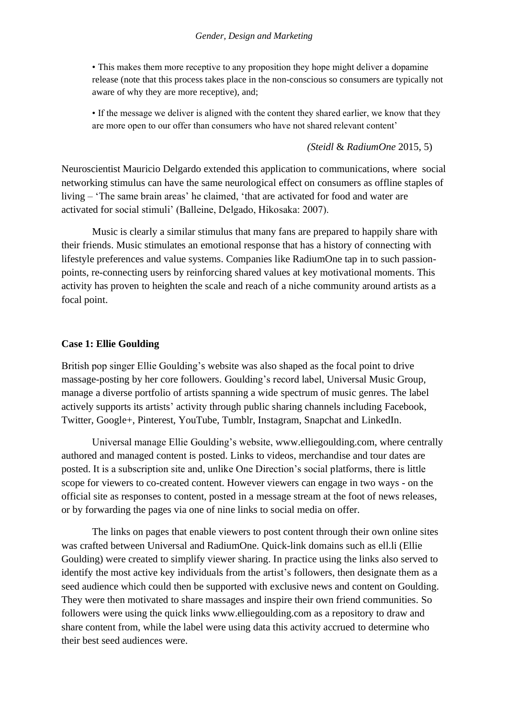• This makes them more receptive to any proposition they hope might deliver a dopamine release (note that this process takes place in the non-conscious so consumers are typically not aware of why they are more receptive), and;

• If the message we deliver is aligned with the content they shared earlier, we know that they are more open to our offer than consumers who have not shared relevant content'

### *(Steidl* & *RadiumOne* 2015, 5)

Neuroscientist Mauricio Delgardo extended this application to communications, where social networking stimulus can have the same neurological effect on consumers as offline staples of living – 'The same brain areas' he claimed, 'that are activated for food and water are activated for social stimuli' (Balleine, Delgado, Hikosaka: 2007).

Music is clearly a similar stimulus that many fans are prepared to happily share with their friends. Music stimulates an emotional response that has a history of connecting with lifestyle preferences and value systems. Companies like RadiumOne tap in to such passionpoints, re-connecting users by reinforcing shared values at key motivational moments. This activity has proven to heighten the scale and reach of a niche community around artists as a focal point.

### **Case 1: Ellie Goulding**

British pop singer Ellie Goulding's website was also shaped as the focal point to drive massage-posting by her core followers. Goulding's record label, Universal Music Group, manage a diverse portfolio of artists spanning a wide spectrum of music genres. The label actively supports its artists' activity through public sharing channels including Facebook, Twitter, Google+, Pinterest, YouTube, Tumblr, Instagram, Snapchat and LinkedIn.

Universal manage Ellie Goulding's website, www.elliegoulding.com, where centrally authored and managed content is posted. Links to videos, merchandise and tour dates are posted. It is a subscription site and, unlike One Direction's social platforms, there is little scope for viewers to co-created content. However viewers can engage in two ways - on the official site as responses to content, posted in a message stream at the foot of news releases, or by forwarding the pages via one of nine links to social media on offer.

The links on pages that enable viewers to post content through their own online sites was crafted between Universal and RadiumOne. Quick-link domains such as ell.li (Ellie Goulding) were created to simplify viewer sharing. In practice using the links also served to identify the most active key individuals from the artist's followers, then designate them as a seed audience which could then be supported with exclusive news and content on Goulding. They were then motivated to share massages and inspire their own friend communities. So followers were using the quick links www.elliegoulding.com as a repository to draw and share content from, while the label were using data this activity accrued to determine who their best seed audiences were.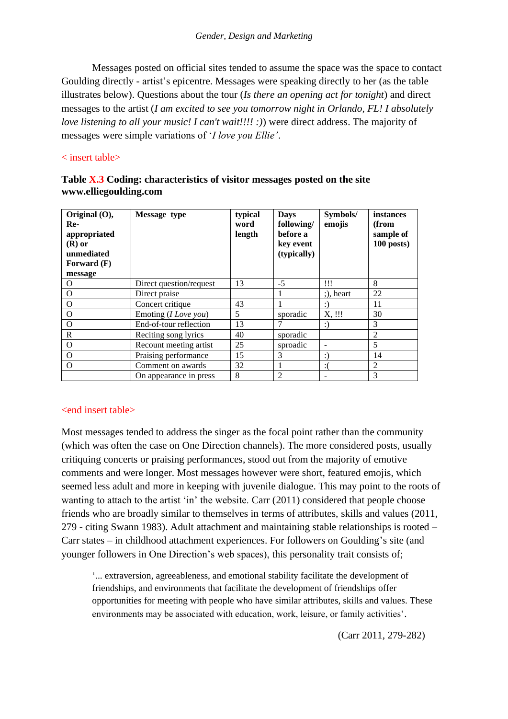Messages posted on official sites tended to assume the space was the space to contact Goulding directly - artist's epicentre. Messages were speaking directly to her (as the table illustrates below). Questions about the tour (*Is there an opening act for tonight*) and direct messages to the artist (*I am excited to see you tomorrow night in Orlando, FL! I absolutely love listening to all your music! I can't wait!!!! :)*) were direct address. The majority of messages were simple variations of '*I love you Ellie'*.

## < insert table>

| Original (O),<br>Re-<br>appropriated<br>$(R)$ or<br>unmediated<br><b>Forward</b> (F)<br>message | Message type                  | typical<br>word<br>length | <b>Days</b><br>following/<br>before a<br>key event<br>(typically) | Symbols/<br>emojis | instances<br>(from<br>sample of<br>$100$ posts) |
|-------------------------------------------------------------------------------------------------|-------------------------------|---------------------------|-------------------------------------------------------------------|--------------------|-------------------------------------------------|
| O                                                                                               | Direct question/request       | 13                        | $-5$                                                              | !!!                | 8                                               |
| O                                                                                               | Direct praise                 |                           |                                                                   | $:$ ), heart       | 22                                              |
| $\Omega$                                                                                        | Concert critique              | 43                        |                                                                   | :)                 | 11                                              |
| $\Omega$                                                                                        | Emoting ( <i>I Love you</i> ) | 5                         | sporadic                                                          | X, !!!             | 30                                              |
| O                                                                                               | End-of-tour reflection        | 13                        |                                                                   | $:$ )              | 3                                               |
| $\mathbb{R}$                                                                                    | Reciting song lyrics          | 40                        | sporadic                                                          |                    | 2                                               |
| $\Omega$                                                                                        | Recount meeting artist        | 25                        | sproadic                                                          |                    | 5                                               |
| $\Omega$                                                                                        | Praising performance          | 15                        | 3                                                                 | :)                 | 14                                              |
| $\Omega$                                                                                        | Comment on awards             | 32                        |                                                                   |                    | 2                                               |
|                                                                                                 | On appearance in press        | 8                         | $\overline{2}$                                                    |                    | 3                                               |

# **Table X.3 Coding: characteristics of visitor messages posted on the site www.elliegoulding.com**

## <end insert table>

Most messages tended to address the singer as the focal point rather than the community (which was often the case on One Direction channels). The more considered posts, usually critiquing concerts or praising performances, stood out from the majority of emotive comments and were longer. Most messages however were short, featured emojis, which seemed less adult and more in keeping with juvenile dialogue. This may point to the roots of wanting to attach to the artist 'in' the website. Carr (2011) considered that people choose friends who are broadly similar to themselves in terms of attributes, skills and values (2011, 279 - citing Swann 1983). Adult attachment and maintaining stable relationships is rooted – Carr states – in childhood attachment experiences. For followers on Goulding's site (and younger followers in One Direction's web spaces), this personality trait consists of;

'... extraversion, agreeableness, and emotional stability facilitate the development of friendships, and environments that facilitate the development of friendships offer opportunities for meeting with people who have similar attributes, skills and values. These environments may be associated with education, work, leisure, or family activities'.

(Carr 2011, 279-282)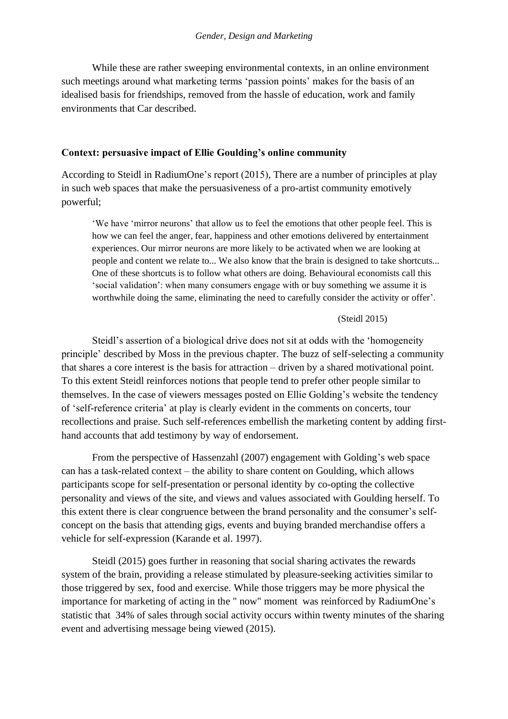While these are rather sweeping environmental contexts, in an online environment such meetings around what marketing terms 'passion points' makes for the basis of an idealised basis for friendships, removed from the hassle of education, work and family environments that Car described.

#### **Context: persuasive impact of Ellie Goulding's online community**

According to Steidl in RadiumOne's report (2015), There are a number of principles at play in such web spaces that make the persuasiveness of a pro-artist community emotively powerful;

'We have 'mirror neurons' that allow us to feel the emotions that other people feel. This is how we can feel the anger, fear, happiness and other emotions delivered by entertainment experiences. Our mirror neurons are more likely to be activated when we are looking at people and content we relate to... We also know that the brain is designed to take shortcuts... One of these shortcuts is to follow what others are doing. Behavioural economists call this 'social validation': when many consumers engage with or buy something we assume it is worthwhile doing the same, eliminating the need to carefully consider the activity or offer'.

#### (Steidl 2015)

Steidl's assertion of a biological drive does not sit at odds with the 'homogeneity principle' described by Moss in the previous chapter. The buzz of self-selecting a community that shares a core interest is the basis for attraction – driven by a shared motivational point. To this extent Steidl reinforces notions that people tend to prefer other people similar to themselves. In the case of viewers messages posted on Ellie Golding's website the tendency of 'self-reference criteria' at play is clearly evident in the comments on concerts, tour recollections and praise. Such self-references embellish the marketing content by adding firsthand accounts that add testimony by way of endorsement.

From the perspective of Hassenzahl (2007) engagement with Golding's web space can has a task-related context – the ability to share content on Goulding, which allows participants scope for self-presentation or personal identity by co-opting the collective personality and views of the site, and views and values associated with Goulding herself. To this extent there is clear congruence between the brand personality and the consumer's selfconcept on the basis that attending gigs, events and buying branded merchandise offers a vehicle for self-expression (Karande et al. 1997).

Steidl (2015) goes further in reasoning that social sharing activates the rewards system of the brain, providing a release stimulated by pleasure-seeking activities similar to those triggered by sex, food and exercise. While those triggers may be more physical the importance for marketing of acting in the " now" moment was reinforced by RadiumOne's statistic that 34% of sales through social activity occurs within twenty minutes of the sharing event and advertising message being viewed (2015).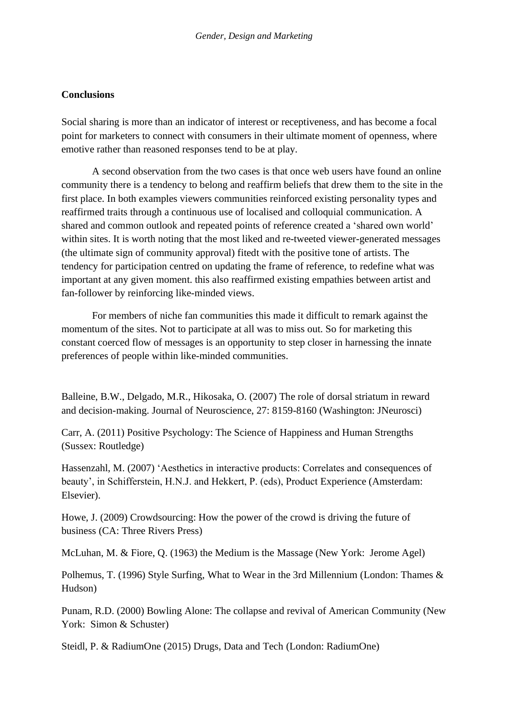## **Conclusions**

Social sharing is more than an indicator of interest or receptiveness, and has become a focal point for marketers to connect with consumers in their ultimate moment of openness, where emotive rather than reasoned responses tend to be at play.

A second observation from the two cases is that once web users have found an online community there is a tendency to belong and reaffirm beliefs that drew them to the site in the first place. In both examples viewers communities reinforced existing personality types and reaffirmed traits through a continuous use of localised and colloquial communication. A shared and common outlook and repeated points of reference created a 'shared own world' within sites. It is worth noting that the most liked and re-tweeted viewer-generated messages (the ultimate sign of community approval) fitedt with the positive tone of artists. The tendency for participation centred on updating the frame of reference, to redefine what was important at any given moment. this also reaffirmed existing empathies between artist and fan-follower by reinforcing like-minded views.

For members of niche fan communities this made it difficult to remark against the momentum of the sites. Not to participate at all was to miss out. So for marketing this constant coerced flow of messages is an opportunity to step closer in harnessing the innate preferences of people within like-minded communities.

Balleine, B.W., Delgado, M.R., Hikosaka, O. (2007) The role of dorsal striatum in reward and decision-making. Journal of Neuroscience, 27: 8159-8160 (Washington: JNeurosci)

Carr, A. (2011) Positive Psychology: The Science of Happiness and Human Strengths (Sussex: Routledge)

Hassenzahl, M. (2007) 'Aesthetics in interactive products: Correlates and consequences of beauty', in Schifferstein, H.N.J. and Hekkert, P. (eds), Product Experience (Amsterdam: Elsevier).

Howe, J. (2009) Crowdsourcing: How the power of the crowd is driving the future of business (CA: Three Rivers Press)

McLuhan, M. & Fiore, Q. (1963) the Medium is the Massage (New York: Jerome Agel)

Polhemus, T. (1996) Style Surfing, What to Wear in the 3rd Millennium (London: Thames & Hudson)

Punam, R.D. (2000) Bowling Alone: The collapse and revival of American Community (New York: Simon & Schuster)

Steidl, P. & RadiumOne (2015) Drugs, Data and Tech (London: RadiumOne)